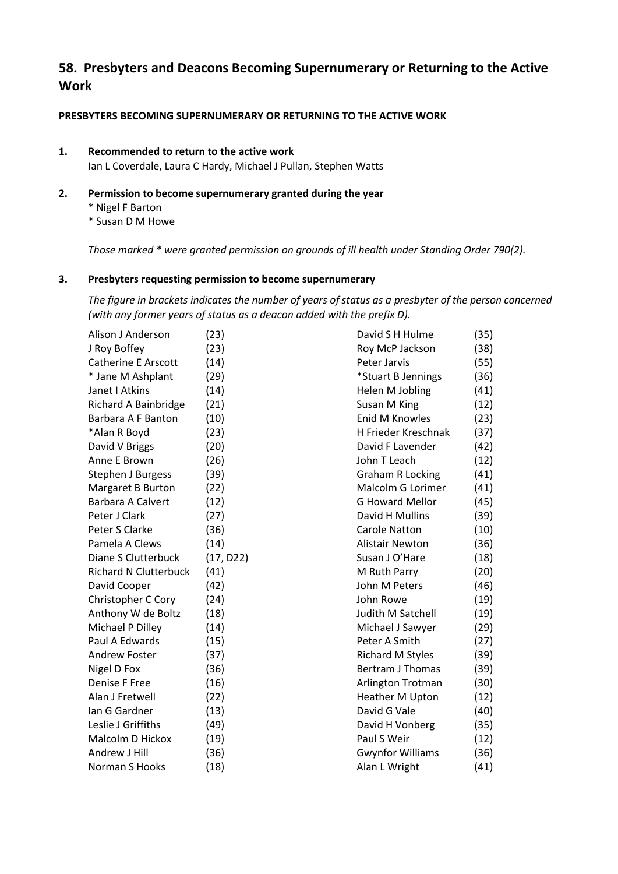# **58. Presbyters and Deacons Becoming Supernumerary or Returning to the Active Work**

# **PRESBYTERS BECOMING SUPERNUMERARY OR RETURNING TO THE ACTIVE WORK**

# **1. Recommended to return to the active work**

Ian L Coverdale, Laura C Hardy, Michael J Pullan, Stephen Watts

- **2. Permission to become supernumerary granted during the year**
	- \* Nigel F Barton
	- \* Susan D M Howe

*Those marked \* were granted permission on grounds of ill health under Standing Order 790(2).*

## **3. Presbyters requesting permission to become supernumerary**

*The figure in brackets indicates the number of years of status as a presbyter of the person concerned (with any former years of status as a deacon added with the prefix D).*

| Alison J Anderson            | (23)      | David S H Hulme         | (35) |
|------------------------------|-----------|-------------------------|------|
| J Roy Boffey                 | (23)      | Roy McP Jackson         | (38) |
| <b>Catherine E Arscott</b>   | (14)      | Peter Jarvis            | (55) |
| * Jane M Ashplant            | (29)      | *Stuart B Jennings      | (36) |
| Janet I Atkins               | (14)      | Helen M Jobling         | (41) |
| Richard A Bainbridge         | (21)      | Susan M King            | (12) |
| Barbara A F Banton           | (10)      | <b>Enid M Knowles</b>   | (23) |
| *Alan R Boyd                 | (23)      | H Frieder Kreschnak     | (37) |
| David V Briggs               | (20)      | David F Lavender        | (42) |
| Anne E Brown                 | (26)      | John T Leach            | (12) |
| Stephen J Burgess            | (39)      | <b>Graham R Locking</b> | (41) |
| Margaret B Burton            | (22)      | Malcolm G Lorimer       | (41) |
| Barbara A Calvert            | (12)      | <b>G Howard Mellor</b>  | (45) |
| Peter J Clark                | (27)      | David H Mullins         | (39) |
| Peter S Clarke               | (36)      | <b>Carole Natton</b>    | (10) |
| Pamela A Clews               | (14)      | <b>Alistair Newton</b>  | (36) |
| Diane S Clutterbuck          | (17, D22) | Susan J O'Hare          | (18) |
| <b>Richard N Clutterbuck</b> | (41)      | M Ruth Parry            | (20) |
| David Cooper                 | (42)      | John M Peters           | (46) |
| Christopher C Cory           | (24)      | John Rowe               | (19) |
| Anthony W de Boltz           | (18)      | Judith M Satchell       | (19) |
| Michael P Dilley             | (14)      | Michael J Sawyer        | (29) |
| Paul A Edwards               | (15)      | Peter A Smith           | (27) |
| <b>Andrew Foster</b>         | (37)      | <b>Richard M Styles</b> | (39) |
| Nigel D Fox                  | (36)      | <b>Bertram J Thomas</b> | (39) |
| Denise F Free                | (16)      | Arlington Trotman       | (30) |
| Alan J Fretwell              | (22)      | <b>Heather M Upton</b>  | (12) |
| lan G Gardner                | (13)      | David G Vale            | (40) |
| Leslie J Griffiths           | (49)      | David H Vonberg         | (35) |
| Malcolm D Hickox             | (19)      | Paul S Weir             | (12) |
| Andrew J Hill                | (36)      | <b>Gwynfor Williams</b> | (36) |
| Norman S Hooks               | (18)      | Alan L Wright           | (41) |